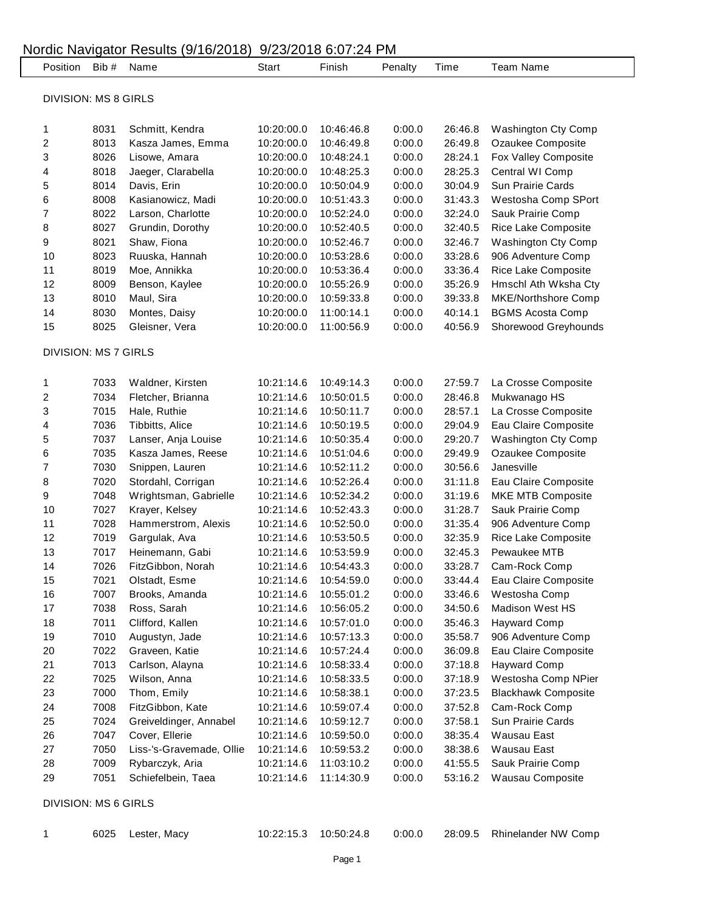|                             | Position Bib # | Name                     | <b>Start</b> | Finish     | Penalty          | Time               | <b>Team Name</b>           |
|-----------------------------|----------------|--------------------------|--------------|------------|------------------|--------------------|----------------------------|
| <b>DIVISION: MS 8 GIRLS</b> |                |                          |              |            |                  |                    |                            |
|                             |                |                          |              |            |                  |                    |                            |
| 1                           | 8031           | Schmitt, Kendra          | 10:20:00.0   | 10:46:46.8 | 0:00.0           | 26:46.8            | <b>Washington Cty Comp</b> |
| 2                           | 8013           | Kasza James, Emma        | 10:20:00.0   | 10:46:49.8 | 0:00.0           | 26:49.8            | Ozaukee Composite          |
| 3                           | 8026           | Lisowe, Amara            | 10:20:00.0   | 10:48:24.1 | 0:00.0           | 28:24.1            | Fox Valley Composite       |
| 4                           | 8018           | Jaeger, Clarabella       | 10:20:00.0   | 10:48:25.3 | 0:00.0           | 28:25.3            | Central WI Comp            |
| 5                           | 8014           | Davis, Erin              | 10:20:00.0   | 10:50:04.9 | 0:00.0           | 30:04.9            | Sun Prairie Cards          |
| 6                           | 8008           | Kasianowicz, Madi        | 10:20:00.0   | 10:51:43.3 | 0:00.0           | 31:43.3            | Westosha Comp SPort        |
| 7                           | 8022           | Larson, Charlotte        | 10:20:00.0   | 10:52:24.0 | 0:00.0           | 32:24.0            | Sauk Prairie Comp          |
| 8                           | 8027           | Grundin, Dorothy         | 10:20:00.0   | 10:52:40.5 | 0:00.0           | 32:40.5            | Rice Lake Composite        |
| 9                           | 8021           | Shaw, Fiona              | 10:20:00.0   | 10:52:46.7 | 0:00.0           | 32:46.7            | Washington Cty Comp        |
| 10                          | 8023           | Ruuska, Hannah           | 10:20:00.0   | 10:53:28.6 | 0:00.0           | 33:28.6            | 906 Adventure Comp         |
| 11                          | 8019           | Moe, Annikka             | 10:20:00.0   | 10:53:36.4 | 0:00.0           | 33:36.4            | Rice Lake Composite        |
| 12                          | 8009           | Benson, Kaylee           | 10:20:00.0   | 10:55:26.9 | 0:00.0           | 35:26.9            | Hmschl Ath Wksha Cty       |
| 13                          | 8010           | Maul, Sira               | 10:20:00.0   | 10:59:33.8 | 0:00.0           | 39:33.8            | <b>MKE/Northshore Comp</b> |
| 14                          | 8030           | Montes, Daisy            | 10:20:00.0   | 11:00:14.1 | 0:00.0           | 40:14.1            | <b>BGMS Acosta Comp</b>    |
| 15                          | 8025           | Gleisner, Vera           | 10:20:00.0   | 11:00:56.9 | 0:00.0           | 40:56.9            | Shorewood Greyhounds       |
| <b>DIVISION: MS 7 GIRLS</b> |                |                          |              |            |                  |                    |                            |
| 1                           | 7033           | Waldner, Kirsten         | 10:21:14.6   | 10:49:14.3 | 0:00.0           | 27:59.7            | La Crosse Composite        |
| 2                           | 7034           | Fletcher, Brianna        | 10:21:14.6   | 10:50:01.5 | 0:00.0           | 28:46.8            | Mukwanago HS               |
| 3                           | 7015           | Hale, Ruthie             | 10:21:14.6   | 10:50:11.7 | 0:00.0           | 28:57.1            | La Crosse Composite        |
| 4                           | 7036           | Tibbitts, Alice          | 10:21:14.6   | 10:50:19.5 | 0:00.0           | 29:04.9            | Eau Claire Composite       |
| 5                           | 7037           | Lanser, Anja Louise      | 10:21:14.6   | 10:50:35.4 | 0:00.0           | 29:20.7            | Washington Cty Comp        |
| 6                           | 7035           | Kasza James, Reese       | 10:21:14.6   | 10:51:04.6 | 0:00.0           | 29:49.9            | Ozaukee Composite          |
| $\overline{7}$              | 7030           | Snippen, Lauren          | 10:21:14.6   | 10:52:11.2 | 0:00.0           | 30:56.6            | Janesville                 |
| 8                           | 7020           | Stordahl, Corrigan       | 10:21:14.6   | 10:52:26.4 | 0:00.0           | 31:11.8            | Eau Claire Composite       |
| 9                           | 7048           | Wrightsman, Gabrielle    | 10:21:14.6   | 10:52:34.2 | 0:00.0           | 31:19.6            | MKE MTB Composite          |
| 10                          | 7027           | Krayer, Kelsey           | 10:21:14.6   | 10:52:43.3 | 0:00.0           | 31:28.7            | Sauk Prairie Comp          |
| 11                          | 7028           | Hammerstrom, Alexis      | 10:21:14.6   | 10:52:50.0 | 0:00.0           | 31:35.4            | 906 Adventure Comp         |
| 12                          | 7019           | Gargulak, Ava            | 10:21:14.6   | 10:53:50.5 | 0:00.0           | 32:35.9            | Rice Lake Composite        |
| 13                          | 7017           | Heinemann, Gabi          | 10:21:14.6   | 10:53:59.9 | 0:00.0           | 32:45.3            | Pewaukee MTB               |
| 14                          | 7026           | FitzGibbon, Norah        | 10:21:14.6   | 10:54:43.3 | 0:00.0           | 33:28.7            | Cam-Rock Comp              |
| 15                          | 7021           | Olstadt, Esme            | 10:21:14.6   | 10:54:59.0 | 0:00.0           | 33:44.4            | Eau Claire Composite       |
| 16                          | 7007           | Brooks, Amanda           | 10:21:14.6   | 10:55:01.2 | 0:00.0           | 33:46.6            | Westosha Comp              |
| 17                          | 7038           | Ross, Sarah              | 10:21:14.6   | 10:56:05.2 | 0:00.0           | 34:50.6            | <b>Madison West HS</b>     |
| 18                          | 7011           | Clifford, Kallen         | 10:21:14.6   | 10:57:01.0 | 0:00.0           | 35:46.3            | <b>Hayward Comp</b>        |
| 19                          | 7010           | Augustyn, Jade           | 10:21:14.6   | 10:57:13.3 | 0:00.0           | 35:58.7            | 906 Adventure Comp         |
| 20                          | 7022           | Graveen, Katie           | 10:21:14.6   | 10:57:24.4 | 0:00.0           | 36:09.8            | Eau Claire Composite       |
| 21                          | 7013           | Carlson, Alayna          | 10:21:14.6   | 10:58:33.4 | 0:00.0           | 37:18.8            | <b>Hayward Comp</b>        |
| 22                          | 7025           | Wilson, Anna             | 10:21:14.6   | 10:58:33.5 | 0:00.0           | 37:18.9            | Westosha Comp NPier        |
| 23                          | 7000           | Thom, Emily              | 10:21:14.6   | 10:58:38.1 | 0:00.0           | 37:23.5            | <b>Blackhawk Composite</b> |
| 24                          | 7008           | FitzGibbon, Kate         | 10:21:14.6   | 10:59:07.4 | 0:00.0           | 37:52.8            | Cam-Rock Comp              |
| 25                          | 7024           |                          |              |            | 0:00.0           | 37:58.1            | Sun Prairie Cards          |
|                             | 7047           | Greiveldinger, Annabel   | 10:21:14.6   | 10:59:12.7 |                  |                    |                            |
| 26                          |                | Cover, Ellerie           | 10:21:14.6   | 10:59:50.0 | 0:00.0           | 38:35.4            | Wausau East                |
| 27<br>28                    | 7050           | Liss-'s-Gravemade, Ollie | 10:21:14.6   | 10:59:53.2 | 0:00.0           | 38:38.6            | Wausau East                |
|                             | 7009           | Rybarczyk, Aria          | 10:21:14.6   | 11:03:10.2 | 0:00.0<br>0:00.0 | 41:55.5<br>53:16.2 | Sauk Prairie Comp          |

| Lester, |
|---------|
|         |

6025 Lester, Macy 10:22:15.3 10:50:24.8 0:00.0 28:09.5 Rhinelander NW Comp